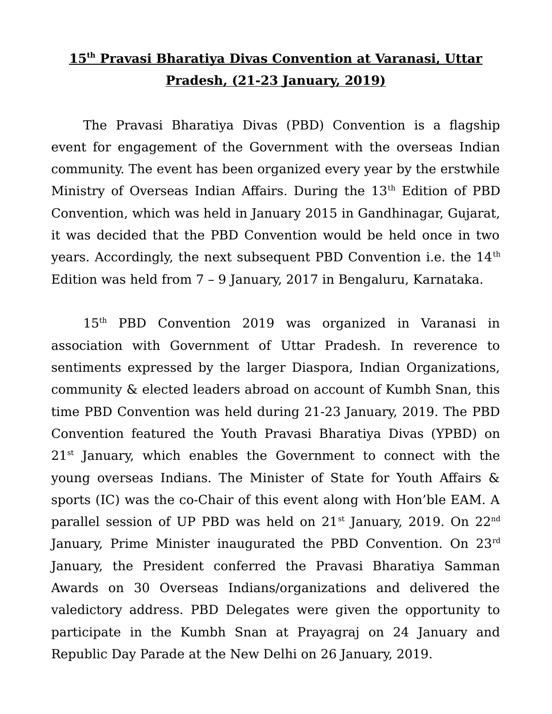## **15th Pravasi Bharatiya Divas Convention at Varanasi, Uttar Pradesh, (21-23 January, 2019)**

The Pravasi Bharatiya Divas (PBD) Convention is a flagship event for engagement of the Government with the overseas Indian community. The event has been organized every year by the erstwhile Ministry of Overseas Indian Affairs. During the 13<sup>th</sup> Edition of PBD Convention, which was held in January 2015 in Gandhinagar, Gujarat, it was decided that the PBD Convention would be held once in two years. Accordingly, the next subsequent PBD Convention i.e. the  $14<sup>th</sup>$ Edition was held from 7 – 9 January, 2017 in Bengaluru, Karnataka.

15th PBD Convention 2019 was organized in Varanasi in association with Government of Uttar Pradesh. In reverence to sentiments expressed by the larger Diaspora, Indian Organizations, community & elected leaders abroad on account of Kumbh Snan, this time PBD Convention was held during 21-23 January, 2019. The PBD Convention featured the Youth Pravasi Bharatiya Divas (YPBD) on  $21<sup>st</sup>$  January, which enables the Government to connect with the young overseas Indians. The Minister of State for Youth Affairs & sports (IC) was the co-Chair of this event along with Hon'ble EAM. A parallel session of UP PBD was held on  $21^{st}$  January, 2019. On  $22^{nd}$ January, Prime Minister inaugurated the PBD Convention. On 23<sup>rd</sup> January, the President conferred the Pravasi Bharatiya Samman Awards on 30 Overseas Indians/organizations and delivered the valedictory address. PBD Delegates were given the opportunity to participate in the Kumbh Snan at Prayagraj on 24 January and Republic Day Parade at the New Delhi on 26 January, 2019.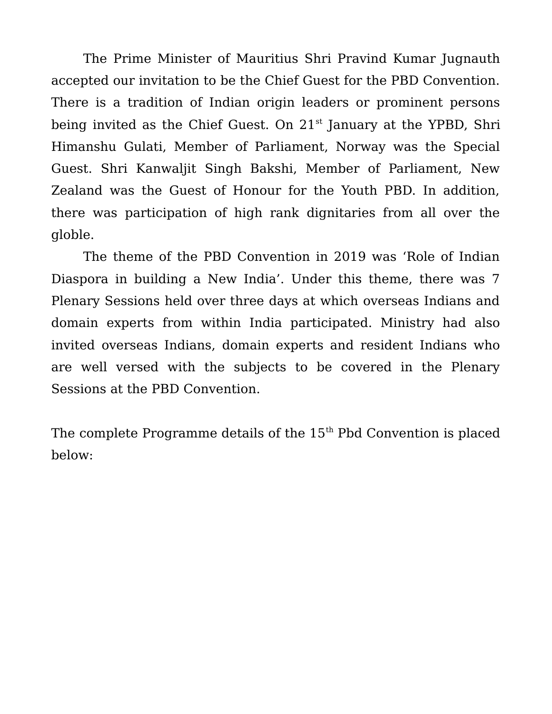The Prime Minister of Mauritius Shri Pravind Kumar Jugnauth accepted our invitation to be the Chief Guest for the PBD Convention. There is a tradition of Indian origin leaders or prominent persons being invited as the Chief Guest. On  $21<sup>st</sup>$  January at the YPBD, Shri Himanshu Gulati, Member of Parliament, Norway was the Special Guest. Shri Kanwaljit Singh Bakshi, Member of Parliament, New Zealand was the Guest of Honour for the Youth PBD. In addition, there was participation of high rank dignitaries from all over the globle.

The theme of the PBD Convention in 2019 was 'Role of Indian Diaspora in building a New India'. Under this theme, there was 7 Plenary Sessions held over three days at which overseas Indians and domain experts from within India participated. Ministry had also invited overseas Indians, domain experts and resident Indians who are well versed with the subjects to be covered in the Plenary Sessions at the PBD Convention.

The complete Programme details of the  $15<sup>th</sup>$  Pbd Convention is placed below: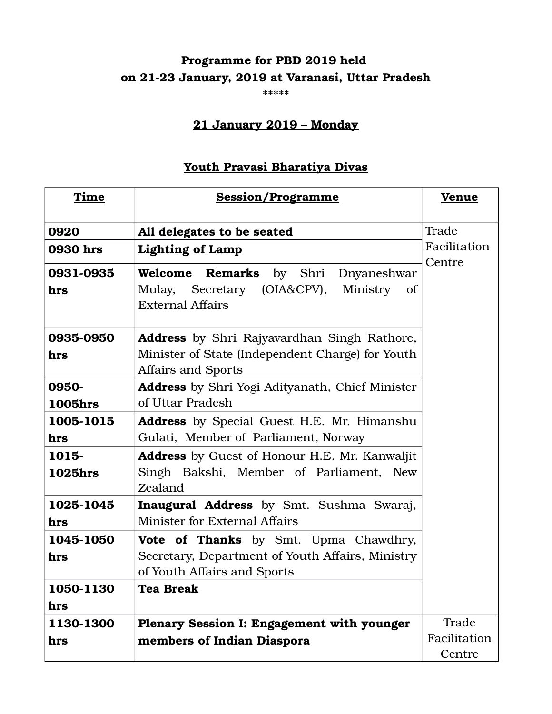## **Programme for PBD 2019 held on 21-23 January, 2019 at Varanasi, Uttar Pradesh**

**\*\*\*\*\***

#### **21 January 2019 – Monday**

#### **Youth Pravasi Bharatiya Divas**

| Time           | <b>Session/Programme</b>                                                        | <u>Venue</u>           |
|----------------|---------------------------------------------------------------------------------|------------------------|
| 0920           | All delegates to be seated                                                      | Trade                  |
| 0930 hrs       | <b>Lighting of Lamp</b>                                                         | Facilitation<br>Centre |
| 0931-0935      | <b>Welcome Remarks</b> by Shri<br>Dnyaneshwar                                   |                        |
| hrs            | Mulay, Secretary (OIA&CPV),<br>Ministry<br>of<br><b>External Affairs</b>        |                        |
| 0935-0950      | <b>Address</b> by Shri Rajyavardhan Singh Rathore,                              |                        |
| hrs            | Minister of State (Independent Charge) for Youth<br><b>Affairs and Sports</b>   |                        |
| 0950-          | Address by Shri Yogi Adityanath, Chief Minister                                 |                        |
| <b>1005hrs</b> | of Uttar Pradesh                                                                |                        |
| 1005-1015      | <b>Address</b> by Special Guest H.E. Mr. Himanshu                               |                        |
| hrs            | Gulati, Member of Parliament, Norway                                            |                        |
| 1015-          | <b>Address</b> by Guest of Honour H.E. Mr. Kanwaljit                            |                        |
| <b>1025hrs</b> | Singh Bakshi, Member of Parliament, New<br>Zealand                              |                        |
| 1025-1045      | Inaugural Address by Smt. Sushma Swaraj,                                        |                        |
| hrs            | <b>Minister for External Affairs</b>                                            |                        |
| 1045-1050      | Vote of Thanks by Smt. Upma Chawdhry,                                           |                        |
| hrs            | Secretary, Department of Youth Affairs, Ministry<br>of Youth Affairs and Sports |                        |
| 1050-1130      | <b>Tea Break</b>                                                                |                        |
| hrs            |                                                                                 |                        |
| 1130-1300      | Plenary Session I: Engagement with younger                                      | Trade                  |
| hrs            | members of Indian Diaspora                                                      | Facilitation           |
|                |                                                                                 | Centre                 |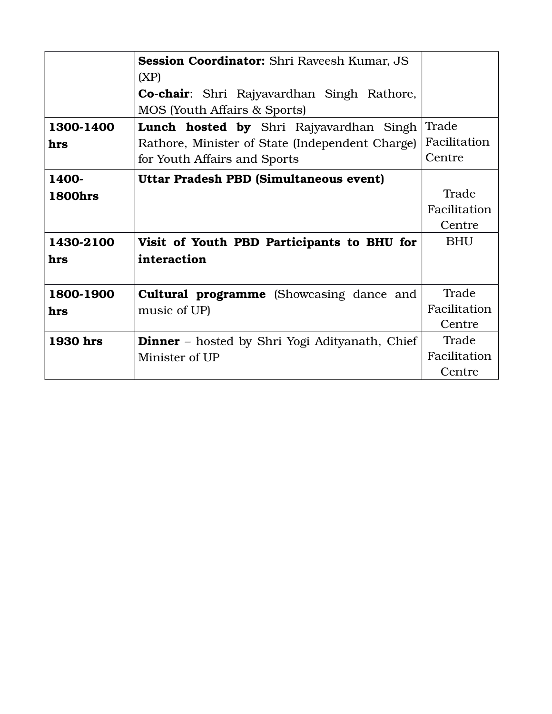|                | <b>Session Coordinator:</b> Shri Raveesh Kumar, JS<br>(XP)                        |              |
|----------------|-----------------------------------------------------------------------------------|--------------|
|                | Co-chair: Shri Rajyavardhan Singh Rathore,<br><b>MOS</b> (Youth Affairs & Sports) |              |
| 1300-1400      | <b>Lunch hosted by</b> Shri Rajyavardhan Singh                                    | Trade        |
| hrs            | Rathore, Minister of State (Independent Charge)                                   | Facilitation |
|                | for Youth Affairs and Sports                                                      | Centre       |
| 1400-          | Uttar Pradesh PBD (Simultaneous event)                                            |              |
| <b>1800hrs</b> |                                                                                   | Trade        |
|                |                                                                                   | Facilitation |
|                |                                                                                   | Centre       |
| 1430-2100      | Visit of Youth PBD Participants to BHU for                                        | <b>BHU</b>   |
| hrs            | interaction                                                                       |              |
|                |                                                                                   |              |
| 1800-1900      | <b>Cultural programme</b> (Showcasing dance and                                   | Trade        |
| hrs            | music of UP)                                                                      | Facilitation |
|                |                                                                                   | Centre       |
| 1930 hrs       | <b>Dinner</b> – hosted by Shri Yogi Adityanath, Chief                             | Trade        |
|                | Minister of UP                                                                    | Facilitation |
|                |                                                                                   | Centre       |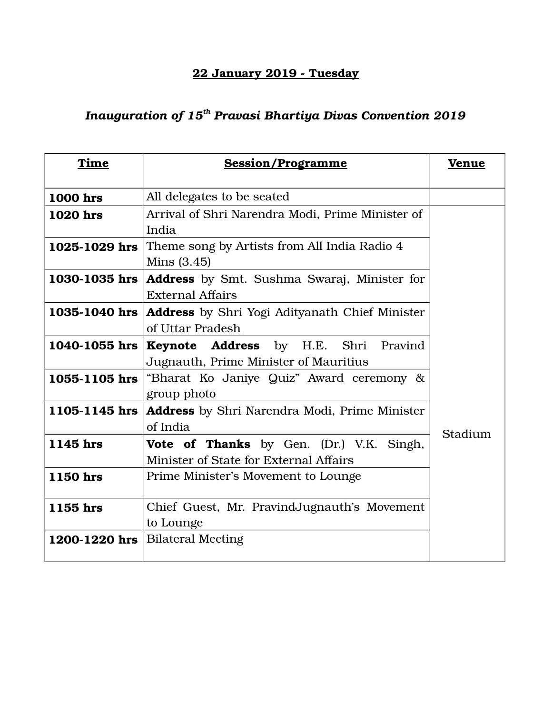### **22 January 2019 - Tuesday**

## *Inauguration of 15th Pravasi Bhartiya Divas Convention 2019*

| Time            | <b>Session/Programme</b>                              | <b>Venue</b> |
|-----------------|-------------------------------------------------------|--------------|
| <b>1000 hrs</b> | All delegates to be seated                            |              |
| <b>1020 hrs</b> | Arrival of Shri Narendra Modi, Prime Minister of      |              |
|                 | India                                                 |              |
| 1025-1029 hrs   | Theme song by Artists from All India Radio 4          |              |
|                 | Mins $(3.45)$                                         |              |
| 1030-1035 hrs   | <b>Address</b> by Smt. Sushma Swaraj, Minister for    |              |
|                 | <b>External Affairs</b>                               |              |
| 1035-1040 hrs   | <b>Address</b> by Shri Yogi Adityanath Chief Minister |              |
|                 | of Uttar Pradesh                                      |              |
| 1040-1055 hrs   | Keynote Address by H.E. Shri Pravind                  |              |
|                 | Jugnauth, Prime Minister of Mauritius                 |              |
| 1055-1105 hrs   | "Bharat Ko Janiye Quiz" Award ceremony &              |              |
|                 | group photo                                           |              |
| 1105-1145 hrs   | <b>Address</b> by Shri Narendra Modi, Prime Minister  |              |
|                 | of India                                              | Stadium      |
| 1145 hrs        | Vote of Thanks by Gen. (Dr.) V.K. Singh,              |              |
|                 | Minister of State for External Affairs                |              |
| 1150 hrs        | Prime Minister's Movement to Lounge                   |              |
|                 |                                                       |              |
| 1155 hrs        | Chief Guest, Mr. Pravind Jugnauth's Movement          |              |
|                 | to Lounge                                             |              |
| 1200-1220 hrs   | <b>Bilateral Meeting</b>                              |              |
|                 |                                                       |              |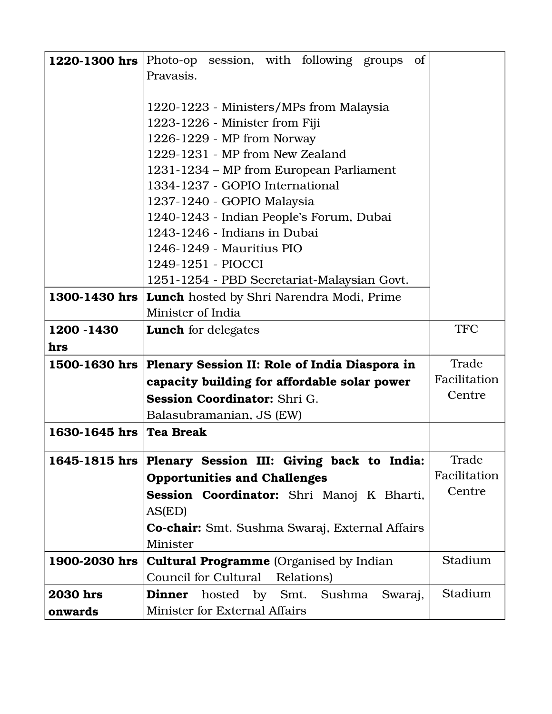| 1220-1300 hrs   | Photo-op session, with following groups of                            |              |
|-----------------|-----------------------------------------------------------------------|--------------|
|                 | Pravasis.                                                             |              |
|                 |                                                                       |              |
|                 | 1220-1223 - Ministers/MPs from Malaysia                               |              |
|                 | 1223-1226 - Minister from Fiji                                        |              |
|                 | 1226-1229 - MP from Norway                                            |              |
|                 | 1229-1231 - MP from New Zealand                                       |              |
|                 | 1231-1234 - MP from European Parliament                               |              |
|                 | 1334-1237 - GOPIO International                                       |              |
|                 | 1237-1240 - GOPIO Malaysia                                            |              |
|                 | 1240-1243 - Indian People's Forum, Dubai                              |              |
|                 | 1243-1246 - Indians in Dubai<br>1246-1249 - Mauritius PIO             |              |
|                 | 1249-1251 - PIOCCI                                                    |              |
|                 | 1251-1254 - PBD Secretariat-Malaysian Govt.                           |              |
| 1300-1430 hrs   |                                                                       |              |
|                 | <b>Lunch</b> hosted by Shri Narendra Modi, Prime<br>Minister of India |              |
| 1200 - 1430     | <b>Lunch</b> for delegates                                            | <b>TFC</b>   |
| hrs             |                                                                       |              |
| 1500-1630 hrs   | Plenary Session II: Role of India Diaspora in                         | Trade        |
|                 | capacity building for affordable solar power                          | Facilitation |
|                 | Session Coordinator: Shri G.                                          | Centre       |
|                 | Balasubramanian, JS (EW)                                              |              |
| 1630-1645 hrs   | <b>Tea Break</b>                                                      |              |
| 1645-1815 hrs   | Plenary Session III: Giving back to India:                            | Trade        |
|                 | <b>Opportunities and Challenges</b>                                   | Facilitation |
|                 | Session Coordinator: Shri Manoj K Bharti,                             | Centre       |
|                 | AS(ED)                                                                |              |
|                 | <b>Co-chair:</b> Smt. Sushma Swaraj, External Affairs                 |              |
|                 | Minister                                                              |              |
| 1900-2030 hrs   | <b>Cultural Programme</b> (Organised by Indian                        | Stadium      |
|                 |                                                                       |              |
|                 | <b>Council for Cultural</b><br>Relations)                             |              |
| <b>2030</b> hrs | hosted by Smt. Sushma<br><b>Dinner</b><br>Swaraj,                     | Stadium      |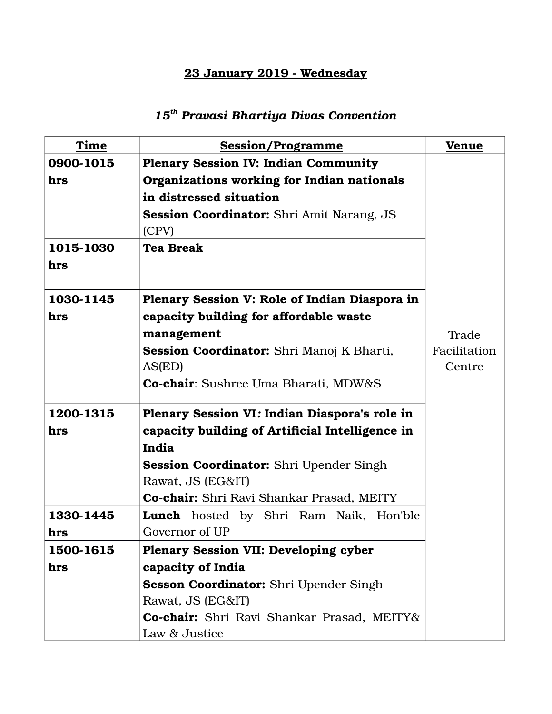#### **23 January 2019 - Wednesday**

# *15th Pravasi Bhartiya Divas Convention*

| Time      | <b>Session/Programme</b>                         | <b>Venue</b> |
|-----------|--------------------------------------------------|--------------|
| 0900-1015 | <b>Plenary Session IV: Indian Community</b>      |              |
| hrs       | Organizations working for Indian nationals       |              |
|           | in distressed situation                          |              |
|           | <b>Session Coordinator:</b> Shri Amit Narang, JS |              |
|           | (CPV)                                            |              |
| 1015-1030 | <b>Tea Break</b>                                 |              |
| hrs       |                                                  |              |
| 1030-1145 | Plenary Session V: Role of Indian Diaspora in    |              |
| hrs       | capacity building for affordable waste           |              |
|           | management                                       | Trade        |
|           | Session Coordinator: Shri Manoj K Bharti,        | Facilitation |
|           | AS(ED)                                           | Centre       |
|           | Co-chair: Sushree Uma Bharati, MDW&S             |              |
|           |                                                  |              |
| 1200-1315 | Plenary Session VI: Indian Diaspora's role in    |              |
| hrs       | capacity building of Artificial Intelligence in  |              |
|           | India                                            |              |
|           | <b>Session Coordinator:</b> Shri Upender Singh   |              |
|           | Rawat, JS (EG&IT)                                |              |
|           | Co-chair: Shri Ravi Shankar Prasad, MEITY        |              |
| 1330-1445 | <b>Lunch</b> hosted by Shri Ram Naik, Hon'ble    |              |
| hrs       | Governor of UP                                   |              |
| 1500-1615 | <b>Plenary Session VII: Developing cyber</b>     |              |
| hrs       | capacity of India                                |              |
|           | <b>Sesson Coordinator:</b> Shri Upender Singh    |              |
|           | Rawat, JS (EG&IT)                                |              |
|           | Co-chair: Shri Ravi Shankar Prasad, MEITY&       |              |
|           | Law & Justice                                    |              |